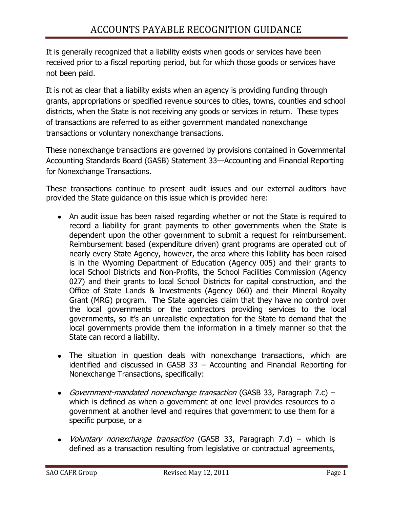It is generally recognized that a liability exists when goods or services have been received prior to a fiscal reporting period, but for which those goods or services have not been paid.

It is not as clear that a liability exists when an agency is providing funding through grants, appropriations or specified revenue sources to cities, towns, counties and school districts, when the State is not receiving any goods or services in return. These types of transactions are referred to as either government mandated nonexchange transactions or voluntary nonexchange transactions.

These nonexchange transactions are governed by provisions contained in Governmental Accounting Standards Board (GASB) Statement 33—Accounting and Financial Reporting for Nonexchange Transactions.

These transactions continue to present audit issues and our external auditors have provided the State guidance on this issue which is provided here:

- An audit issue has been raised regarding whether or not the State is required to record a liability for grant payments to other governments when the State is dependent upon the other government to submit a request for reimbursement. Reimbursement based (expenditure driven) grant programs are operated out of nearly every State Agency, however, the area where this liability has been raised is in the Wyoming Department of Education (Agency 005) and their grants to local School Districts and Non-Profits, the School Facilities Commission (Agency 027) and their grants to local School Districts for capital construction, and the Office of State Lands & Investments (Agency 060) and their Mineral Royalty Grant (MRG) program. The State agencies claim that they have no control over the local governments or the contractors providing services to the local governments, so it's an unrealistic expectation for the State to demand that the local governments provide them the information in a timely manner so that the State can record a liability.
- The situation in question deals with nonexchange transactions, which are identified and discussed in GASB 33 – Accounting and Financial Reporting for Nonexchange Transactions, specifically:
- Government-mandated nonexchange transaction (GASB 33, Paragraph 7.c) which is defined as when a government at one level provides resources to a government at another level and requires that government to use them for a specific purpose, or a
- *Voluntary nonexchange transaction* (GASB 33, Paragraph 7.d) which is defined as a transaction resulting from legislative or contractual agreements,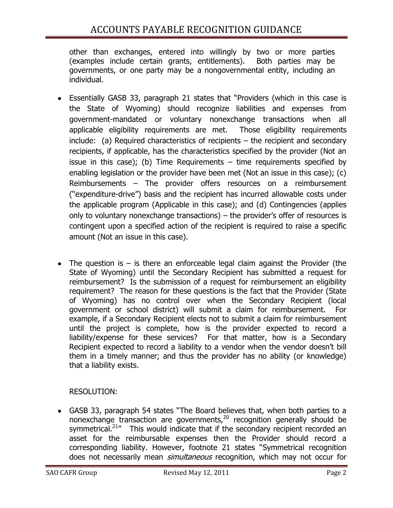other than exchanges, entered into willingly by two or more parties (examples include certain grants, entitlements). Both parties may be governments, or one party may be a nongovernmental entity, including an individual.

- Essentially GASB 33, paragraph 21 states that "Providers (which in this case is the State of Wyoming) should recognize liabilities and expenses from government-mandated or voluntary nonexchange transactions when all applicable eligibility requirements are met. Those eligibility requirements include: (a) Required characteristics of recipients – the recipient and secondary recipients, if applicable, has the characteristics specified by the provider (Not an issue in this case); (b) Time Requirements  $-$  time requirements specified by enabling legislation or the provider have been met (Not an issue in this case); (c) Reimbursements – The provider offers resources on a reimbursement ("expenditure-drive") basis and the recipient has incurred allowable costs under the applicable program (Applicable in this case); and (d) Contingencies (applies only to voluntary nonexchange transactions) – the provider's offer of resources is contingent upon a specified action of the recipient is required to raise a specific amount (Not an issue in this case).
- The question is  $-$  is there an enforceable legal claim against the Provider (the State of Wyoming) until the Secondary Recipient has submitted a request for reimbursement? Is the submission of a request for reimbursement an eligibility requirement? The reason for these questions is the fact that the Provider (State of Wyoming) has no control over when the Secondary Recipient (local government or school district) will submit a claim for reimbursement. For example, if a Secondary Recipient elects not to submit a claim for reimbursement until the project is complete, how is the provider expected to record a liability/expense for these services? For that matter, how is a Secondary Recipient expected to record a liability to a vendor when the vendor doesn't bill them in a timely manner; and thus the provider has no ability (or knowledge) that a liability exists.

## RESOLUTION:

• GASB 33, paragraph 54 states "The Board believes that, when both parties to a nonexchange transaction are governments,<sup>20</sup> recognition generally should be symmetrical.<sup>21</sup><sup>*m*</sup> This would indicate that if the secondary recipient recorded an asset for the reimbursable expenses then the Provider should record a corresponding liability. However, footnote 21 states "Symmetrical recognition does not necessarily mean *simultaneous* recognition, which may not occur for